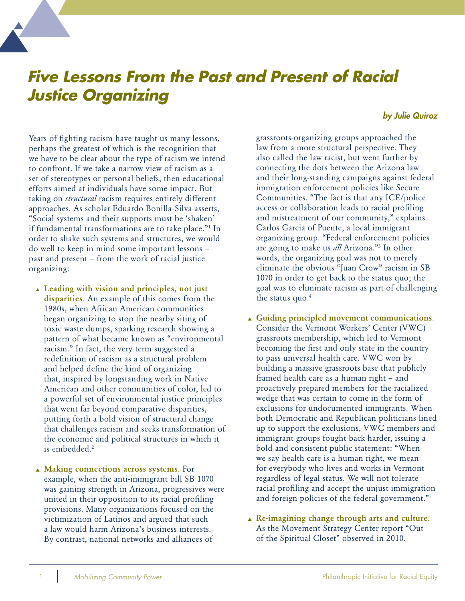## **Five Lessons From the Past and Present of Racial Justice Organizing**

## *by Julie Quiroz*

Years of fighting racism have taught us many lessons, perhaps the greatest of which is the recognition that we have to be clear about the type of racism we intend to confront. If we take a narrow view of racism as a set of stereotypes or personal beliefs, then educational efforts aimed at individuals have some impact. But taking on *structural* racism requires entirely different approaches. As scholar Eduardo Bonilla-Silva asserts, "Social systems and their supports must be 'shaken' if fundamental transformations are to take place."1 In order to shake such systems and structures, we would do well to keep in mind some important lessons – past and present – from the work of racial justice organizing:

- ▲ Leading with vision and principles, not just disparities. An example of this comes from the 1980s, when African American communities began organizing to stop the nearby siting of toxic waste dumps, sparking research showing a pattern of what became known as "environmental racism." In fact, the very term suggested a redefinition of racism as a structural problem and helped define the kind of organizing that, inspired by longstanding work in Native American and other communities of color, led to a powerful set of environmental justice principles that went far beyond comparative disparities, putting forth a bold vision of structural change that challenges racism and seeks transformation of the economic and political structures in which it is embedded.<sup>2</sup>
- ▲ Making connections across systems. For example, when the anti-immigrant bill SB 1070 was gaining strength in Arizona, progressives were united in their opposition to its racial profiling provisions. Many organizations focused on the victimization of Latinos and argued that such a law would harm Arizona's business interests. By contrast, national networks and alliances of

grassroots-organizing groups approached the law from a more structural perspective. They also called the law racist, but went further by connecting the dots between the Arizona law and their long-standing campaigns against federal immigration enforcement policies like Secure Communities. "The fact is that any ICE/police access or collaboration leads to racial profiling and mistreatment of our community," explains Carlos Garcia of Puente, a local immigrant organizing group. "Federal enforcement policies are going to make us *all* Arizona."3 In other words, the organizing goal was not to merely eliminate the obvious "Juan Crow" racism in SB 1070 in order to get back to the status quo; the goal was to eliminate racism as part of challenging the status quo.<sup>4</sup>

- ▲ Guiding principled movement communications. Consider the Vermont Workers' Center (VWC) grassroots membership, which led to Vermont becoming the first and only state in the country to pass universal health care. VWC won by building a massive grassroots base that publicly framed health care as a human right – and proactively prepared members for the racialized wedge that was certain to come in the form of exclusions for undocumented immigrants. When both Democratic and Republican politicians lined up to support the exclusions, VWC members and immigrant groups fought back harder, issuing a bold and consistent public statement: "When we say health care is a human right, we mean for everybody who lives and works in Vermont regardless of legal status. We will not tolerate racial profiling and accept the unjust immigration and foreign policies of the federal government."5
- $\triangle$  Re-imagining change through arts and culture. As the Movement Strategy Center report "Out of the Spiritual Closet" observed in 2010,